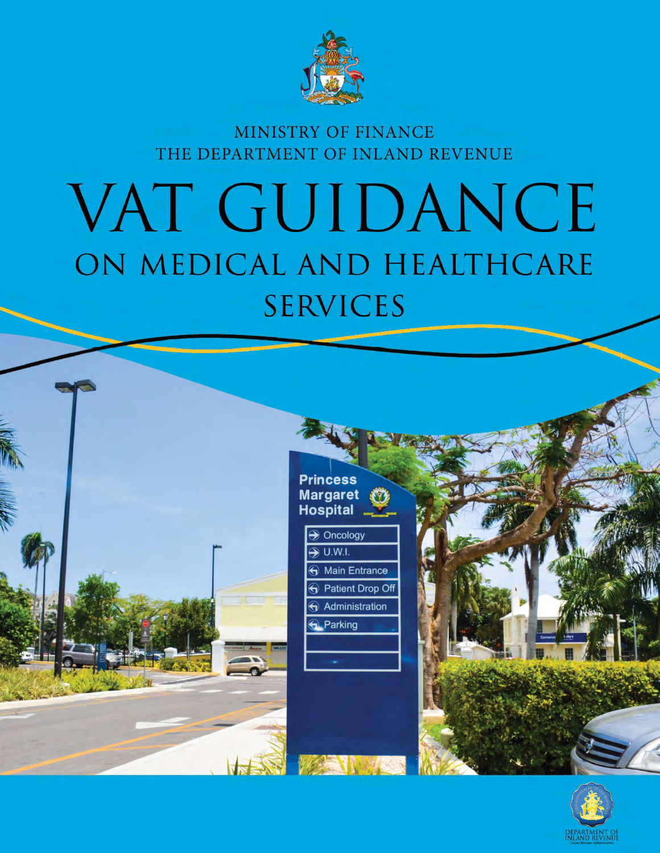

MINISTRY OF FINANCE THE DEPARTMENT OF INLAND REVENUE

# VAT GUIDANCE ON MEDICAL AND HEALTHCARE **SERVICES**





WEST N

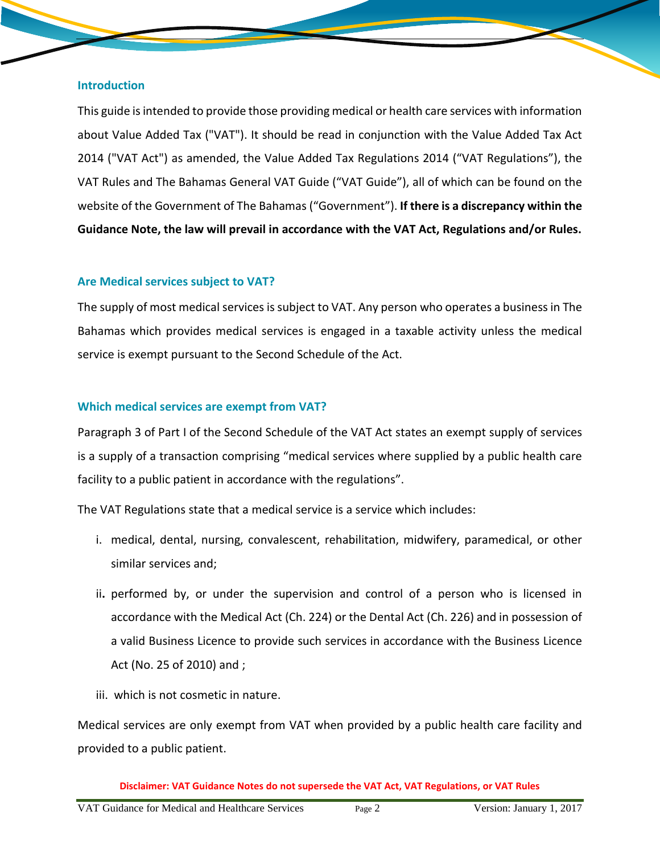#### **Introduction**

This guide isintended to provide those providing medical or health care services with information about Value Added Tax ("VAT"). It should be read in conjunction with the Value Added Tax Act 2014 ("VAT Act") as amended, the Value Added Tax Regulations 2014 ("VAT Regulations"), the VAT Rules and The Bahamas General VAT Guide ("VAT Guide"), all of which can be found on the website of the Government of The Bahamas ("Government"). **If there is a discrepancy within the Guidance Note, the law will prevail in accordance with the VAT Act, Regulations and/or Rules.**

## **Are Medical services subject to VAT?**

The supply of most medical services is subject to VAT. Any person who operates a business in The Bahamas which provides medical services is engaged in a taxable activity unless the medical service is exempt pursuant to the Second Schedule of the Act.

## **Which medical services are exempt from VAT?**

Paragraph 3 of Part I of the Second Schedule of the VAT Act states an exempt supply of services is a supply of a transaction comprising "medical services where supplied by a public health care facility to a public patient in accordance with the regulations".

The VAT Regulations state that a medical service is a service which includes:

- i. medical, dental, nursing, convalescent, rehabilitation, midwifery, paramedical, or other similar services and;
- ii**.** performed by, or under the supervision and control of a person who is licensed in accordance with the Medical Act (Ch. 224) or the Dental Act (Ch. 226) and in possession of a valid Business Licence to provide such services in accordance with the Business Licence Act (No. 25 of 2010) and ;
- iii. which is not cosmetic in nature.

Medical services are only exempt from VAT when provided by a public health care facility and provided to a public patient.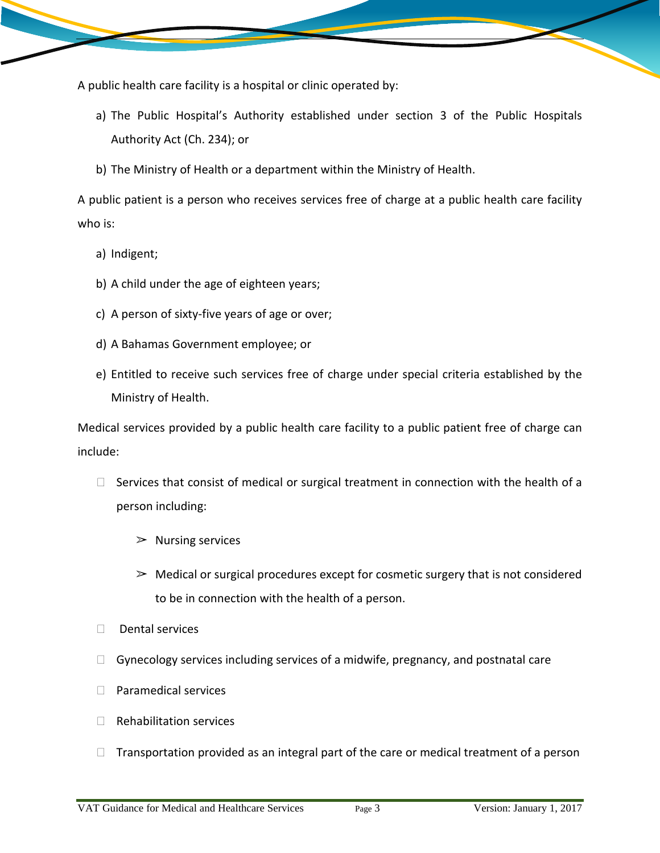A public health care facility is a hospital or clinic operated by:

- a) The Public Hospital's Authority established under section 3 of the Public Hospitals Authority Act (Ch. 234); or
- b) The Ministry of Health or a department within the Ministry of Health.

A public patient is a person who receives services free of charge at a public health care facility who is:

- a) Indigent;
- b) A child under the age of eighteen years;
- c) A person of sixty-five years of age or over;
- d) A Bahamas Government employee; or
- e) Entitled to receive such services free of charge under special criteria established by the Ministry of Health.

Medical services provided by a public health care facility to a public patient free of charge can include:

- $\Box$  Services that consist of medical or surgical treatment in connection with the health of a person including:
	- $\triangleright$  Nursing services
	- $\geq$  Medical or surgical procedures except for cosmetic surgery that is not considered to be in connection with the health of a person.
- Dental services
- $\Box$  Gynecology services including services of a midwife, pregnancy, and postnatal care
- □ Paramedical services
- $\Box$  Rehabilitation services
- $\Box$  Transportation provided as an integral part of the care or medical treatment of a person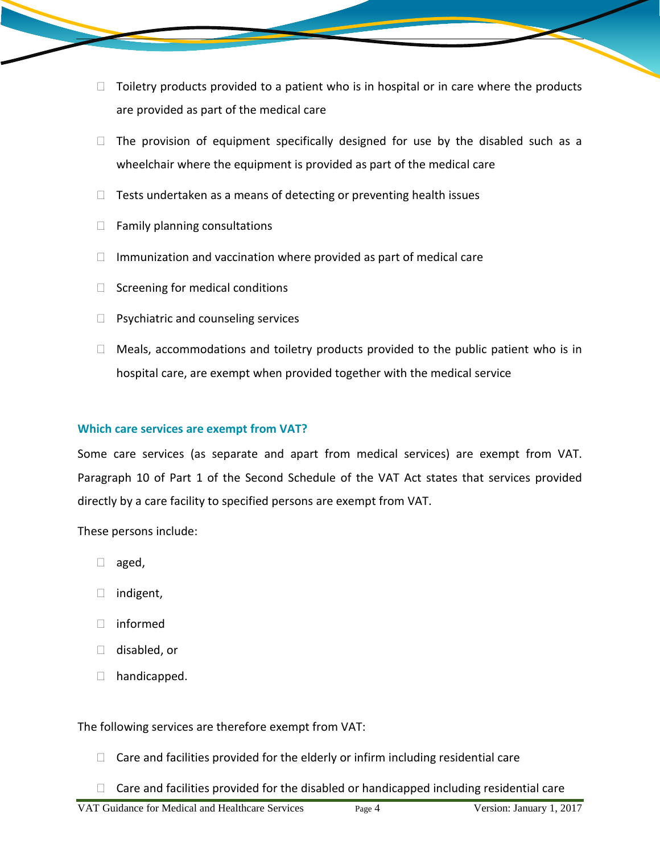- $\Box$  Toiletry products provided to a patient who is in hospital or in care where the products are provided as part of the medical care
- $\Box$  The provision of equipment specifically designed for use by the disabled such as a wheelchair where the equipment is provided as part of the medical care
- $\Box$  Tests undertaken as a means of detecting or preventing health issues
- $\Box$  Family planning consultations
- $\Box$  Immunization and vaccination where provided as part of medical care
- $\Box$  Screening for medical conditions
- $\Box$  Psychiatric and counseling services
- $\Box$  Meals, accommodations and toiletry products provided to the public patient who is in hospital care, are exempt when provided together with the medical service

## **Which care services are exempt from VAT?**

Some care services (as separate and apart from medical services) are exempt from VAT. Paragraph 10 of Part 1 of the Second Schedule of the VAT Act states that services provided directly by a care facility to specified persons are exempt from VAT.

These persons include:

- $\Box$  aged,
- $\Box$  indigent,
- informed
- $\Box$  disabled, or
- $\Box$  handicapped.

The following services are therefore exempt from VAT:

- $\Box$  Care and facilities provided for the elderly or infirm including residential care
- $\Box$  Care and facilities provided for the disabled or handicapped including residential care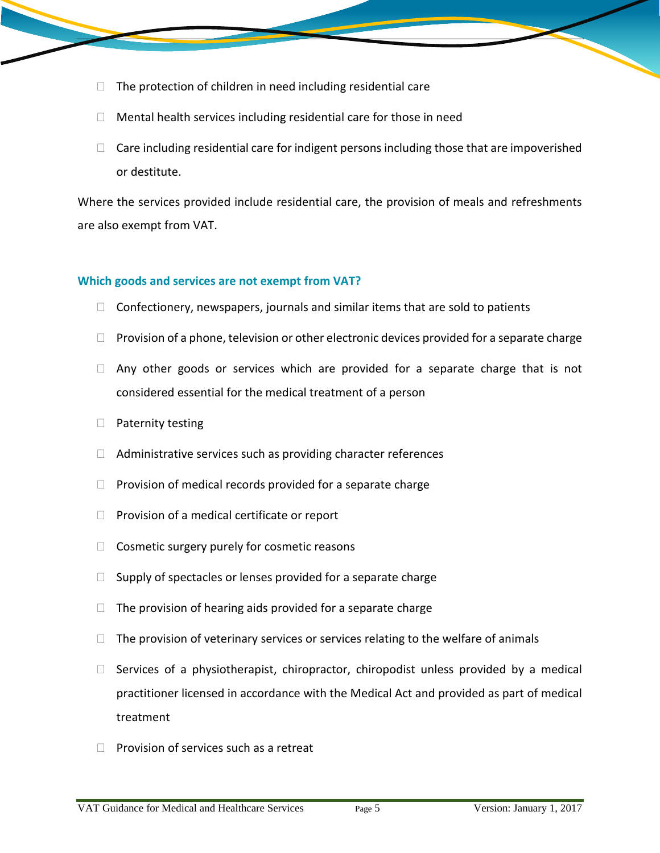- $\Box$  The protection of children in need including residential care
- $\Box$  Mental health services including residential care for those in need
- $\Box$  Care including residential care for indigent persons including those that are impoverished or destitute.

Where the services provided include residential care, the provision of meals and refreshments are also exempt from VAT.

## **Which goods and services are not exempt from VAT?**

- $\Box$  Confectionery, newspapers, journals and similar items that are sold to patients
- $\Box$  Provision of a phone, television or other electronic devices provided for a separate charge
- $\Box$  Any other goods or services which are provided for a separate charge that is not considered essential for the medical treatment of a person
- $\Box$  Paternity testing
- $\Box$  Administrative services such as providing character references
- $\Box$  Provision of medical records provided for a separate charge
- $\Box$  Provision of a medical certificate or report
- $\Box$  Cosmetic surgery purely for cosmetic reasons
- $\Box$  Supply of spectacles or lenses provided for a separate charge
- $\Box$  The provision of hearing aids provided for a separate charge
- $\Box$  The provision of veterinary services or services relating to the welfare of animals
- $\Box$  Services of a physiotherapist, chiropractor, chiropodist unless provided by a medical practitioner licensed in accordance with the Medical Act and provided as part of medical treatment
- $\Box$  Provision of services such as a retreat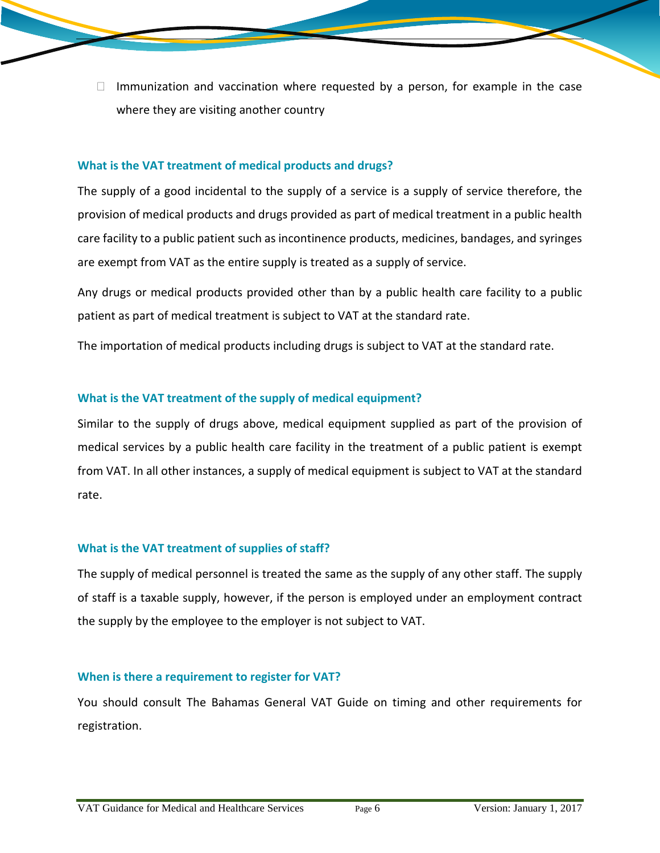$\Box$  Immunization and vaccination where requested by a person, for example in the case where they are visiting another country

## **What is the VAT treatment of medical products and drugs?**

The supply of a good incidental to the supply of a service is a supply of service therefore, the provision of medical products and drugs provided as part of medical treatment in a public health care facility to a public patient such as incontinence products, medicines, bandages, and syringes are exempt from VAT as the entire supply is treated as a supply of service.

Any drugs or medical products provided other than by a public health care facility to a public patient as part of medical treatment is subject to VAT at the standard rate.

The importation of medical products including drugs is subject to VAT at the standard rate.

## **What is the VAT treatment of the supply of medical equipment?**

Similar to the supply of drugs above, medical equipment supplied as part of the provision of medical services by a public health care facility in the treatment of a public patient is exempt from VAT. In all other instances, a supply of medical equipment is subject to VAT at the standard rate.

## **What is the VAT treatment of supplies of staff?**

The supply of medical personnel is treated the same as the supply of any other staff. The supply of staff is a taxable supply, however, if the person is employed under an employment contract the supply by the employee to the employer is not subject to VAT.

## **When is there a requirement to register for VAT?**

You should consult The Bahamas General VAT Guide on timing and other requirements for registration.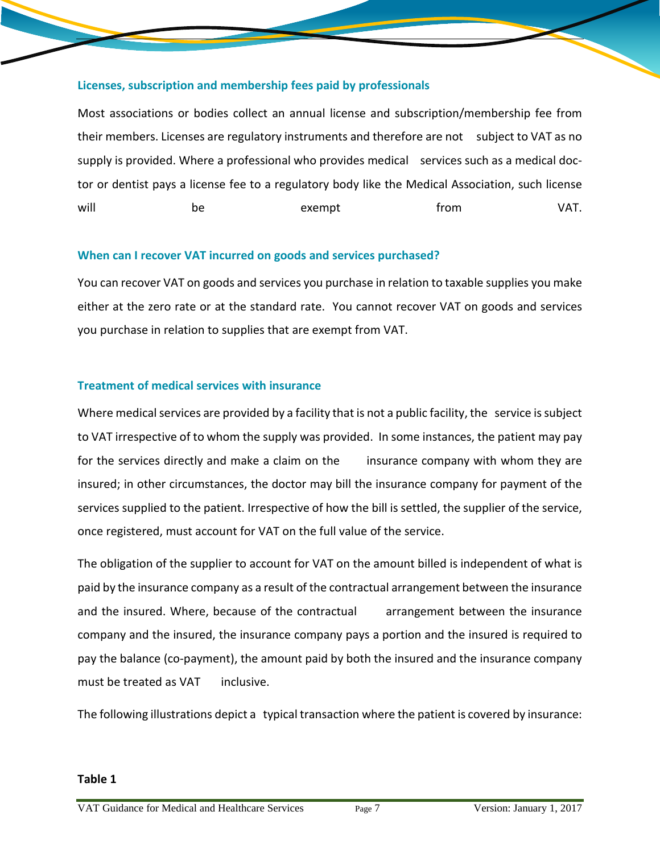## **Licenses, subscription and membership fees paid by professionals**

Most associations or bodies collect an annual license and subscription/membership fee from their members. Licenses are regulatory instruments and therefore are not subject to VAT as no supply is provided. Where a professional who provides medical services such as a medical doctor or dentist pays a license fee to a regulatory body like the Medical Association, such license will the be the exempt that from the VAT.

## **When can I recover VAT incurred on goods and services purchased?**

You can recover VAT on goods and services you purchase in relation to taxable supplies you make either at the zero rate or at the standard rate. You cannot recover VAT on goods and services you purchase in relation to supplies that are exempt from VAT.

## **Treatment of medical services with insurance**

Where medical services are provided by a facility that is not a public facility, the service is subject to VAT irrespective of to whom the supply was provided. In some instances, the patient may pay for the services directly and make a claim on the insurance company with whom they are insured; in other circumstances, the doctor may bill the insurance company for payment of the services supplied to the patient. Irrespective of how the bill is settled, the supplier of the service, once registered, must account for VAT on the full value of the service.

The obligation of the supplier to account for VAT on the amount billed is independent of what is paid by the insurance company as a result of the contractual arrangement between the insurance and the insured. Where, because of the contractual arrangement between the insurance company and the insured, the insurance company pays a portion and the insured is required to pay the balance (co-payment), the amount paid by both the insured and the insurance company must be treated as VAT inclusive.

The following illustrations depict a typical transaction where the patient is covered by insurance: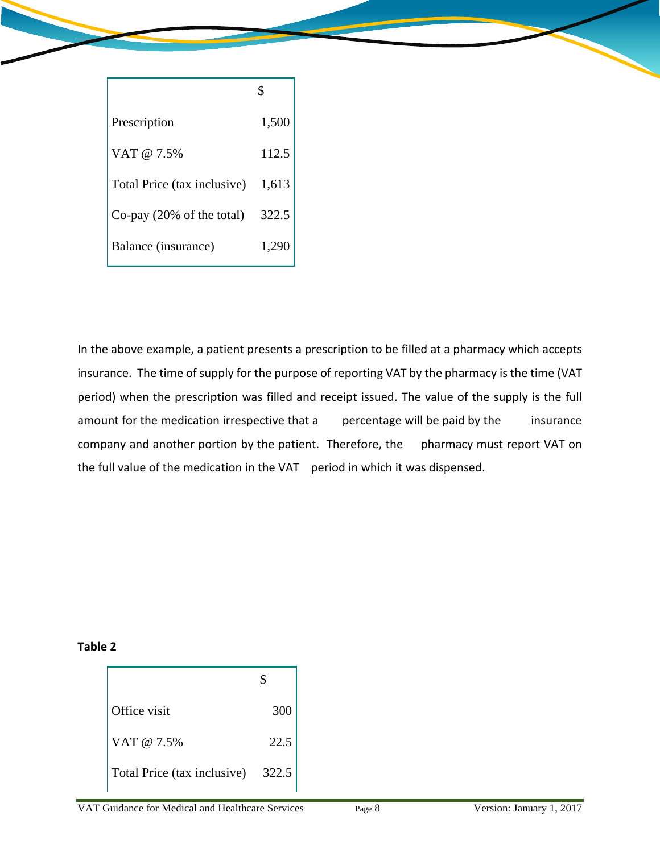| Prescription                         | 1,500 |
|--------------------------------------|-------|
| VAT @ 7.5%                           | 112.5 |
| Total Price (tax inclusive)          | 1,613 |
| Co-pay $(20\% \text{ of the total})$ | 322.5 |
| Balance (insurance)                  | 1,290 |

In the above example, a patient presents a prescription to be filled at a pharmacy which accepts insurance. The time of supply for the purpose of reporting VAT by the pharmacy is the time (VAT period) when the prescription was filled and receipt issued. The value of the supply is the full amount for the medication irrespective that a percentage will be paid by the insurance company and another portion by the patient. Therefore, the pharmacy must report VAT on the full value of the medication in the VAT period in which it was dispensed.

**Table 2**

| Office visit                      | 300  |
|-----------------------------------|------|
| VAT @ 7.5%                        | 22.5 |
| Total Price (tax inclusive) 322.5 |      |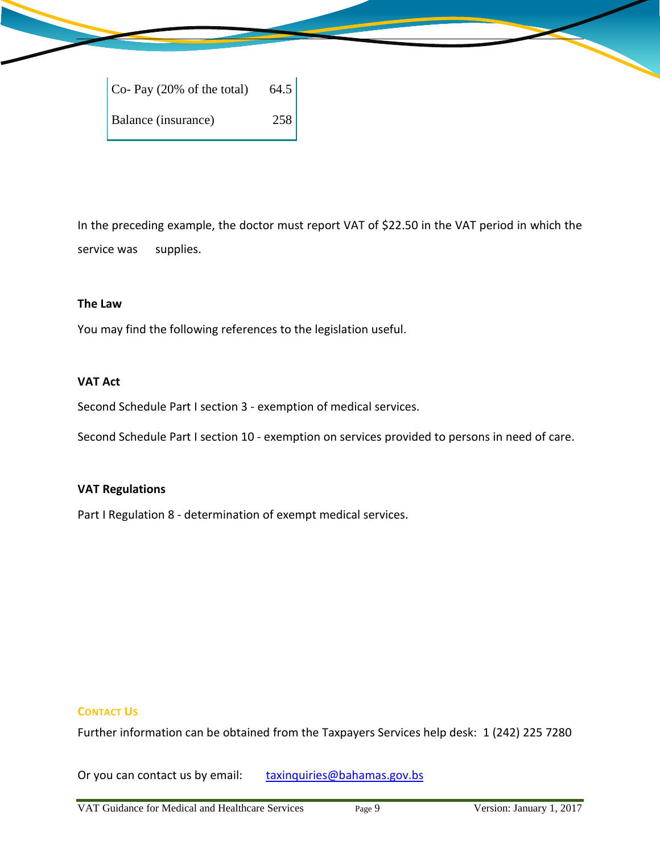| $Co-Pay(20% of the total)$ | 64.5 |
|----------------------------|------|
| Balance (insurance)        | 258  |

In the preceding example, the doctor must report VAT of \$22.50 in the VAT period in which the service was supplies.

### **The Law**

You may find the following references to the legislation useful.

## **VAT Act**

Second Schedule Part I section 3 - exemption of medical services.

Second Schedule Part I section 10 - exemption on services provided to persons in need of care.

#### **VAT Regulations**

Part I Regulation 8 - determination of exempt medical services.

## **CONTACT US**

Further information can be obtained from the Taxpayers Services help desk: 1 (242) 225 7280

Or you can contact us by email: [taxinquiries@bahamas.gov.bs](mailto:taxinquiries@bahamas.gov.bs)